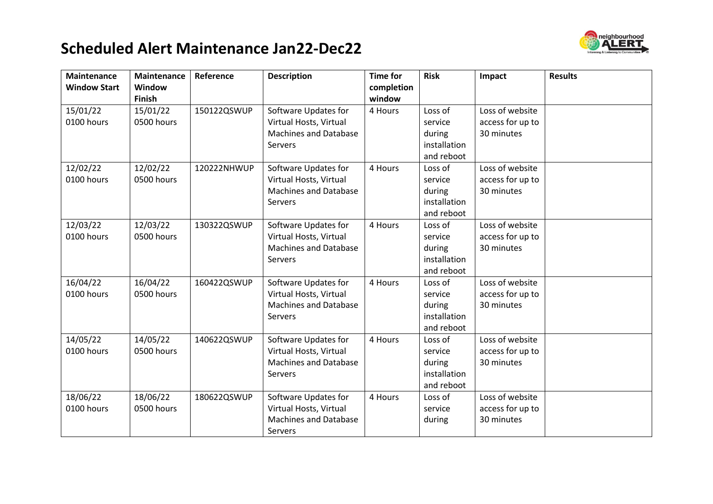## **Scheduled Alert Maintenance Jan22-Dec22**



| <b>Maintenance</b>  | <b>Maintenance</b> | Reference   | <b>Description</b>           | <b>Time for</b>      | <b>Risk</b>  | Impact           | <b>Results</b> |
|---------------------|--------------------|-------------|------------------------------|----------------------|--------------|------------------|----------------|
| <b>Window Start</b> | Window<br>Finish   |             |                              | completion<br>window |              |                  |                |
| 15/01/22            | 15/01/22           | 150122QSWUP | Software Updates for         | 4 Hours              | Loss of      | Loss of website  |                |
| 0100 hours          | 0500 hours         |             | Virtual Hosts, Virtual       |                      | service      | access for up to |                |
|                     |                    |             | <b>Machines and Database</b> |                      | during       | 30 minutes       |                |
|                     |                    |             | Servers                      |                      | installation |                  |                |
|                     |                    |             |                              |                      | and reboot   |                  |                |
| 12/02/22            | 12/02/22           | 120222NHWUP | Software Updates for         | 4 Hours              | Loss of      | Loss of website  |                |
| 0100 hours          | 0500 hours         |             | Virtual Hosts, Virtual       |                      | service      | access for up to |                |
|                     |                    |             | <b>Machines and Database</b> |                      | during       | 30 minutes       |                |
|                     |                    |             | Servers                      |                      | installation |                  |                |
|                     |                    |             |                              |                      | and reboot   |                  |                |
| 12/03/22            | 12/03/22           | 130322QSWUP | Software Updates for         | 4 Hours              | Loss of      | Loss of website  |                |
| 0100 hours          | 0500 hours         |             | Virtual Hosts, Virtual       |                      | service      | access for up to |                |
|                     |                    |             | <b>Machines and Database</b> |                      | during       | 30 minutes       |                |
|                     |                    |             | Servers                      |                      | installation |                  |                |
|                     |                    |             |                              |                      | and reboot   |                  |                |
| 16/04/22            | 16/04/22           | 160422QSWUP | Software Updates for         | 4 Hours              | Loss of      | Loss of website  |                |
| 0100 hours          | 0500 hours         |             | Virtual Hosts, Virtual       |                      | service      | access for up to |                |
|                     |                    |             | <b>Machines and Database</b> |                      | during       | 30 minutes       |                |
|                     |                    |             | Servers                      |                      | installation |                  |                |
|                     |                    |             |                              |                      | and reboot   |                  |                |
| 14/05/22            | 14/05/22           | 140622QSWUP | Software Updates for         | 4 Hours              | Loss of      | Loss of website  |                |
| 0100 hours          | 0500 hours         |             | Virtual Hosts, Virtual       |                      | service      | access for up to |                |
|                     |                    |             | <b>Machines and Database</b> |                      | during       | 30 minutes       |                |
|                     |                    |             | Servers                      |                      | installation |                  |                |
|                     |                    |             |                              |                      | and reboot   |                  |                |
| 18/06/22            | 18/06/22           | 180622QSWUP | Software Updates for         | 4 Hours              | Loss of      | Loss of website  |                |
| 0100 hours          | 0500 hours         |             | Virtual Hosts, Virtual       |                      | service      | access for up to |                |
|                     |                    |             | <b>Machines and Database</b> |                      | during       | 30 minutes       |                |
|                     |                    |             | Servers                      |                      |              |                  |                |